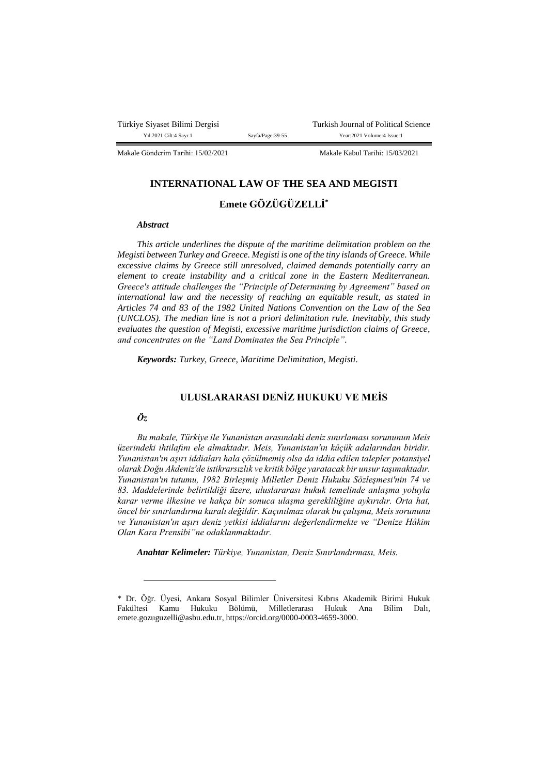Türkiye Siyaset Bilimi Dergisi Turkish Journal of Political Science<br>
Yu:2021 Cilt:4 Savr.1 Savfa/Page:39-55 Year:2021 Volume:4 Issue:1 Sayfa/Page:39-55 Year:2021 Volume:4 Issue:1

Makale Gönderim Tarihi: 15/02/2021 Makale Kabul Tarihi: 15/03/2021

## **INTERNATIONAL LAW OF THE SEA AND MEGISTI**

# **Emete GÖZÜGÜZELLİ\***

### *Abstract*

*This article underlines the dispute of the maritime delimitation problem on the Megisti between Turkey and Greece. Megisti is one of the tiny islands of Greece. While excessive claims by Greece still unresolved, claimed demands potentially carry an element to create instability and a critical zone in the Eastern Mediterranean. Greece's attitude challenges the "Principle of Determining by Agreement" based on international law and the necessity of reaching an equitable result, as stated in Articles 74 and 83 of the 1982 United Nations Convention on the Law of the Sea (UNCLOS). The median line is not a priori delimitation rule. Inevitably, this study evaluates the question of Megisti, excessive maritime jurisdiction claims of Greece, and concentrates on the "Land Dominates the Sea Principle".*

*Keywords: Turkey, Greece, Maritime Delimitation, Megisti.*

# **ULUSLARARASI DENİZ HUKUKU VE MEİS**

# *Öz*

 $\overline{a}$ 

*Bu makale, Türkiye ile Yunanistan arasındaki deniz sınırlaması sorununun Meis üzerindeki ihtilafını ele almaktadır. Meis, Yunanistan'ın küçük adalarından biridir. Yunanistan'ın aşırı iddiaları hala çözülmemiş olsa da iddia edilen talepler potansiyel olarak Doğu Akdeniz'de istikrarsızlık ve kritik bölge yaratacak bir unsur taşımaktadır. Yunanistan'ın tutumu, 1982 Birleşmiş Milletler Deniz Hukuku Sözleşmesi'nin 74 ve 83. Maddelerinde belirtildiği üzere, uluslararası hukuk temelinde anlaşma yoluyla karar verme ilkesine ve hakça bir sonuca ulaşma gerekliliğine aykırıdır. Orta hat, öncel bir sınırlandırma kuralı değildir. Kaçınılmaz olarak bu çalışma, Meis sorununu ve Yunanistan'ın aşırı deniz yetkisi iddialarını değerlendirmekte ve "Denize Hâkim Olan Kara Prensibi"ne odaklanmaktadır.*

*Anahtar Kelimeler: Türkiye, Yunanistan, Deniz Sınırlandırması, Meis.*

<sup>\*</sup> Dr. Öğr. Üyesi, Ankara Sosyal Bilimler Üniversitesi Kıbrıs Akademik Birimi Hukuk Fakültesi Kamu Hukuku Bölümü, Milletlerarası Hukuk Ana Bilim Dalı, emete.gozuguzelli@asbu.edu.tr, https://orcid.org/0000-0003-4659-3000.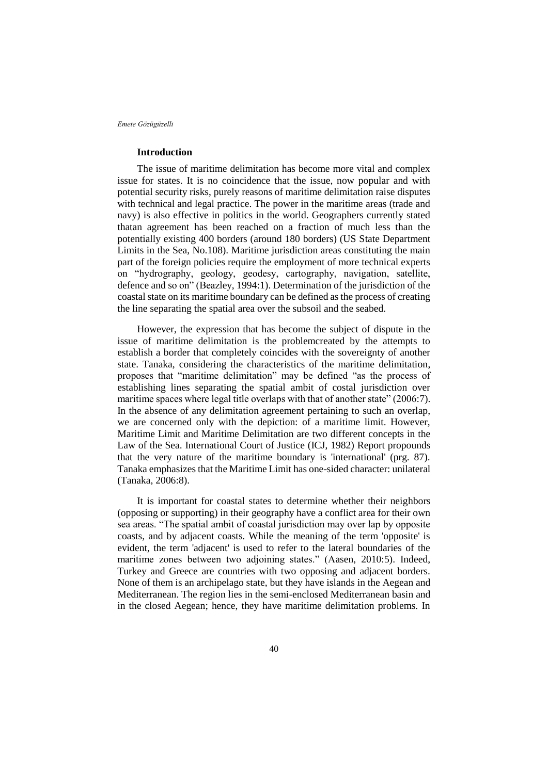### **Introduction**

The issue of maritime delimitation has become more vital and complex issue for states. It is no coincidence that the issue, now popular and with potential security risks, purely reasons of maritime delimitation raise disputes with technical and legal practice. The power in the maritime areas (trade and navy) is also effective in politics in the world. Geographers currently stated thatan agreement has been reached on a fraction of much less than the potentially existing 400 borders (around 180 borders) (US State Department Limits in the Sea, No.108). Maritime jurisdiction areas constituting the main part of the foreign policies require the employment of more technical experts on "hydrography, geology, geodesy, cartography, navigation, satellite, defence and so on" (Beazley, 1994:1). Determination of the jurisdiction of the coastal state on its maritime boundary can be defined as the process of creating the line separating the spatial area over the subsoil and the seabed.

However, the expression that has become the subject of dispute in the issue of maritime delimitation is the problemcreated by the attempts to establish a border that completely coincides with the sovereignty of another state. Tanaka, considering the characteristics of the maritime delimitation, proposes that "maritime delimitation" may be defined "as the process of establishing lines separating the spatial ambit of costal jurisdiction over maritime spaces where legal title overlaps with that of another state" (2006:7). In the absence of any delimitation agreement pertaining to such an overlap, we are concerned only with the depiction: of a maritime limit. However, Maritime Limit and Maritime Delimitation are two different concepts in the Law of the Sea. International Court of Justice (ICJ, 1982) Report propounds that the very nature of the maritime boundary is 'international' (prg. 87). Tanaka emphasizes that the Maritime Limit has one-sided character: unilateral (Tanaka, 2006:8).

It is important for coastal states to determine whether their neighbors (opposing or supporting) in their geography have a conflict area for their own sea areas. "The spatial ambit of coastal jurisdiction may over lap by opposite coasts, and by adjacent coasts. While the meaning of the term 'opposite' is evident, the term 'adjacent' is used to refer to the lateral boundaries of the maritime zones between two adjoining states." (Aasen, 2010:5). Indeed, Turkey and Greece are countries with two opposing and adjacent borders. None of them is an archipelago state, but they have islands in the Aegean and Mediterranean. The region lies in the semi-enclosed Mediterranean basin and in the closed Aegean; hence, they have maritime delimitation problems. In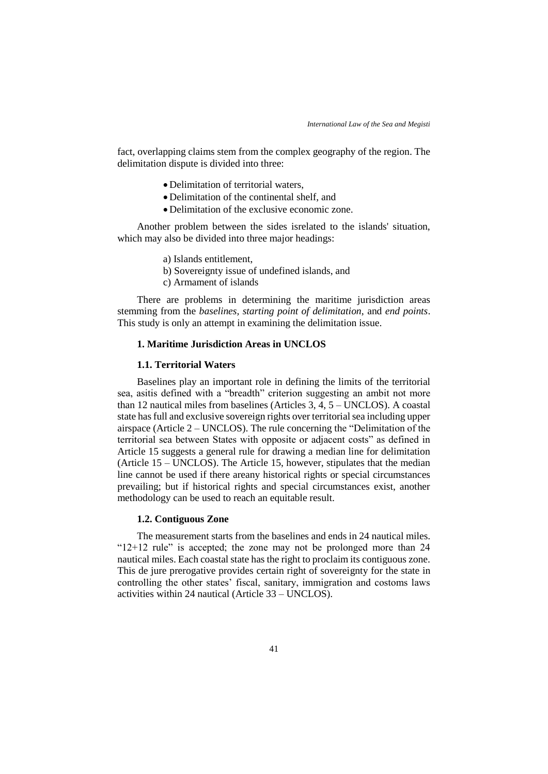fact, overlapping claims stem from the complex geography of the region. The delimitation dispute is divided into three:

- Delimitation of territorial waters,
- Delimitation of the continental shelf, and
- Delimitation of the exclusive economic zone.

Another problem between the sides isrelated to the islands' situation, which may also be divided into three major headings:

- a) Islands entitlement,
- b) Sovereignty issue of undefined islands, and
- c) Armament of islands

There are problems in determining the maritime jurisdiction areas stemming from the *baselines, starting point of delimitation*, and *end points*. This study is only an attempt in examining the delimitation issue.

# **1. Maritime Jurisdiction Areas in UNCLOS**

### **1.1. Territorial Waters**

Baselines play an important role in defining the limits of the territorial sea, asitis defined with a "breadth" criterion suggesting an ambit not more than 12 nautical miles from baselines (Articles 3, 4, 5 – UNCLOS). A coastal state has full and exclusive sovereign rights over territorial sea including upper airspace (Article 2 – UNCLOS). The rule concerning the "Delimitation of the territorial sea between States with opposite or adjacent costs" as defined in Article 15 suggests a general rule for drawing a median line for delimitation (Article 15 – UNCLOS). The Article 15, however, stipulates that the median line cannot be used if there areany historical rights or special circumstances prevailing; but if historical rights and special circumstances exist, another methodology can be used to reach an equitable result.

## **1.2. Contiguous Zone**

The measurement starts from the baselines and ends in 24 nautical miles. "12+12 rule" is accepted; the zone may not be prolonged more than 24 nautical miles. Each coastal state has the right to proclaim its contiguous zone. This de jure prerogative provides certain right of sovereignty for the state in controlling the other states' fiscal, sanitary, immigration and costoms laws activities within 24 nautical (Article 33 – UNCLOS).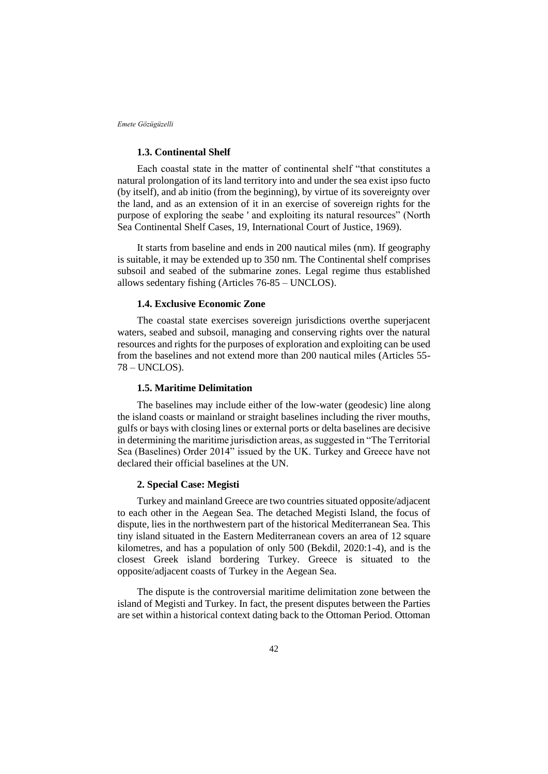### **1.3. Continental Shelf**

Each coastal state in the matter of continental shelf "that constitutes a natural prolongation of its land territory into and under the sea exist ipso fucto (by itself), and ab initio (from the beginning), by virtue of its sovereignty over the land, and as an extension of it in an exercise of sovereign rights for the purpose of exploring the seabe ' and exploiting its natural resources" (North Sea Continental Shelf Cases, 19, International Court of Justice, 1969).

It starts from baseline and ends in 200 nautical miles (nm). If geography is suitable, it may be extended up to 350 nm. The Continental shelf comprises subsoil and seabed of the submarine zones. Legal regime thus established allows sedentary fishing (Articles 76-85 – UNCLOS).

## **1.4. Exclusive Economic Zone**

The coastal state exercises sovereign jurisdictions overthe superjacent waters, seabed and subsoil, managing and conserving rights over the natural resources and rights for the purposes of exploration and exploiting can be used from the baselines and not extend more than 200 nautical miles (Articles 55- 78 – UNCLOS).

## **1.5. Maritime Delimitation**

The baselines may include either of the low-water (geodesic) line along the island coasts or mainland or straight baselines including the river mouths, gulfs or bays with closing lines or external ports or delta baselines are decisive in determining the maritime jurisdiction areas, as suggested in "The Territorial Sea (Baselines) Order 2014" issued by the UK. Turkey and Greece have not declared their official baselines at the UN.

### **2. Special Case: Megisti**

Turkey and mainland Greece are two countries situated opposite/adjacent to each other in the Aegean Sea. The detached Megisti Island, the focus of dispute, lies in the northwestern part of the historical Mediterranean Sea. This tiny island situated in the Eastern Mediterranean covers an area of 12 square kilometres, and has a population of only 500 (Bekdil, 2020:1-4), and is the closest Greek island bordering Turkey. Greece is situated to the opposite/adjacent coasts of Turkey in the Aegean Sea.

The dispute is the controversial maritime delimitation zone between the island of Megisti and Turkey. In fact, the present disputes between the Parties are set within a historical context dating back to the Ottoman Period. Ottoman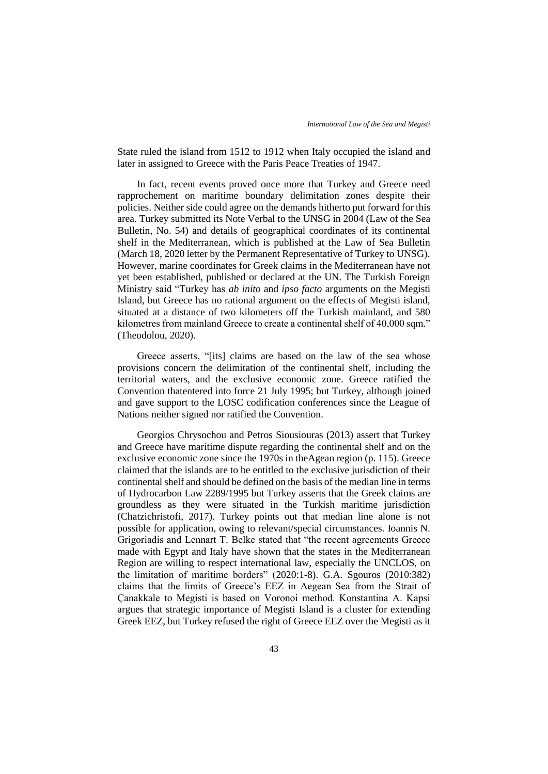State ruled the island from 1512 to 1912 when Italy occupied the island and later in assigned to Greece with the Paris Peace Treaties of 1947.

In fact, recent events proved once more that Turkey and Greece need rapprochement on maritime boundary delimitation zones despite their policies. Neither side could agree on the demands hitherto put forward for this area. Turkey submitted its Note Verbal to the UNSG in 2004 (Law of the Sea Bulletin, No. 54) and details of geographical coordinates of its continental shelf in the Mediterranean, which is published at the Law of Sea Bulletin (March 18, 2020 letter by the Permanent Representative of Turkey to UNSG). However, marine coordinates for Greek claims in the Mediterranean have not yet been established, published or declared at the UN. The Turkish Foreign Ministry said "Turkey has *ab inito* and *ipso facto* arguments on the Megisti Island, but Greece has no rational argument on the effects of Megisti island, situated at a distance of two kilometers off the Turkish mainland, and 580 kilometres from mainland Greece to create a continental shelf of 40,000 sqm." (Theodolou, 2020).

Greece asserts, "[its] claims are based on the law of the sea whose provisions concern the delimitation of the continental shelf, including the territorial waters, and the exclusive economic zone. Greece ratified the Convention thatentered into force 21 July 1995; but Turkey, although joined and gave support to the LOSC codification conferences since the League of Nations neither signed nor ratified the Convention.

Georgios Chrysochou and Petros Siousiouras (2013) assert that Turkey and Greece have maritime dispute regarding the continental shelf and on the exclusive economic zone since the 1970s in theAgean region (p. 115). Greece claimed that the islands are to be entitled to the exclusive jurisdiction of their continental shelf and should be defined on the basis of the median line in terms of Hydrocarbon Law 2289/1995 but Turkey asserts that the Greek claims are groundless as they were situated in the Turkish maritime jurisdiction (Chatzichristofi, 2017). Turkey points out that median line alone is not possible for application, owing to relevant/special circumstances. Ioannis N. Grigoriadis and Lennart T. Belke stated that "the recent agreements Greece made with Egypt and Italy have shown that the states in the Mediterranean Region are willing to respect international law, especially the UNCLOS, on the limitation of maritime borders" (2020:1-8). G.A. Sgouros (2010:382) claims that the limits of Greece's EEZ in Aegean Sea from the Strait of Çanakkale to Megisti is based on Voronoi method. Konstantina A. Kapsi argues that strategic importance of Megisti Island is a cluster for extending Greek EEZ, but Turkey refused the right of Greece EEZ over the Megisti as it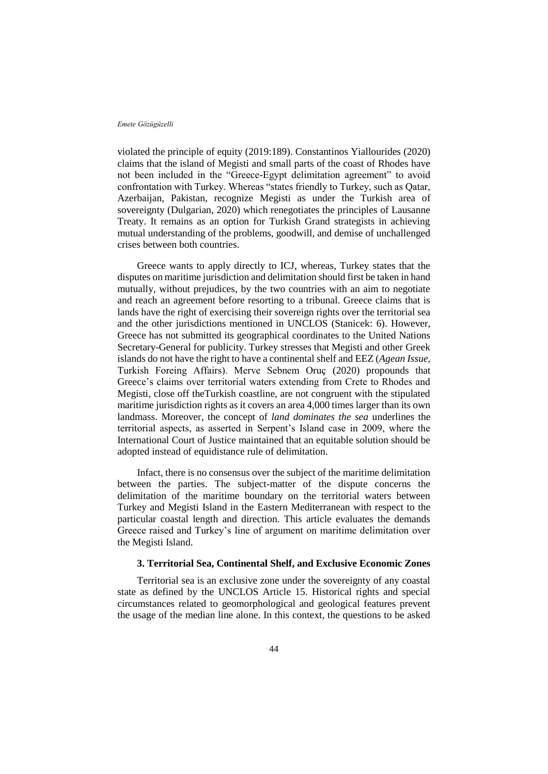violated the principle of equity (2019:189). Constantinos Yiallourides (2020) claims that the island of Megisti and small parts of the coast of Rhodes have not been included in the "Greece-Egypt delimitation agreement" to avoid confrontation with Turkey. Whereas "states friendly to Turkey, such as Qatar, Azerbaijan, Pakistan, recognize Megisti as under the Turkish area of sovereignty (Dulgarian, 2020) which renegotiates the principles of Lausanne Treaty. It remains as an option for Turkish Grand strategists in achieving mutual understanding of the problems, goodwill, and demise of unchallenged crises between both countries.

Greece wants to apply directly to ICJ, whereas, Turkey states that the disputes on maritime jurisdiction and delimitation should first be taken in hand mutually, without prejudices, by the two countries with an aim to negotiate and reach an agreement before resorting to a tribunal. Greece claims that is lands have the right of exercising their sovereign rights over the territorial sea and the other jurisdictions mentioned in UNCLOS (Stanicek: 6). However, Greece has not submitted its geographical coordinates to the United Nations Secretary-General for publicity. Turkey stresses that Megisti and other Greek islands do not have the right to have a continental shelf and EEZ (*Agean Issue*, Turkish Foreing Affairs). Merve Sebnem Oruç (2020) propounds that Greece's claims over territorial waters extending from Crete to Rhodes and Megisti, close off theTurkish coastline, are not congruent with the stipulated maritime jurisdiction rights as it covers an area 4,000 times larger than its own landmass. Moreover, the concept of *land dominates the sea* underlines the territorial aspects, as asserted in Serpent's Island case in 2009, where the International Court of Justice maintained that an equitable solution should be adopted instead of equidistance rule of delimitation.

Infact, there is no consensus over the subject of the maritime delimitation between the parties. The subject-matter of the dispute concerns the delimitation of the maritime boundary on the territorial waters between Turkey and Megisti Island in the Eastern Mediterranean with respect to the particular coastal length and direction. This article evaluates the demands Greece raised and Turkey's line of argument on maritime delimitation over the Megisti Island.

## **3. Territorial Sea, Continental Shelf, and Exclusive Economic Zones**

Territorial sea is an exclusive zone under the sovereignty of any coastal state as defined by the UNCLOS Article 15. Historical rights and special circumstances related to geomorphological and geological features prevent the usage of the median line alone. In this context, the questions to be asked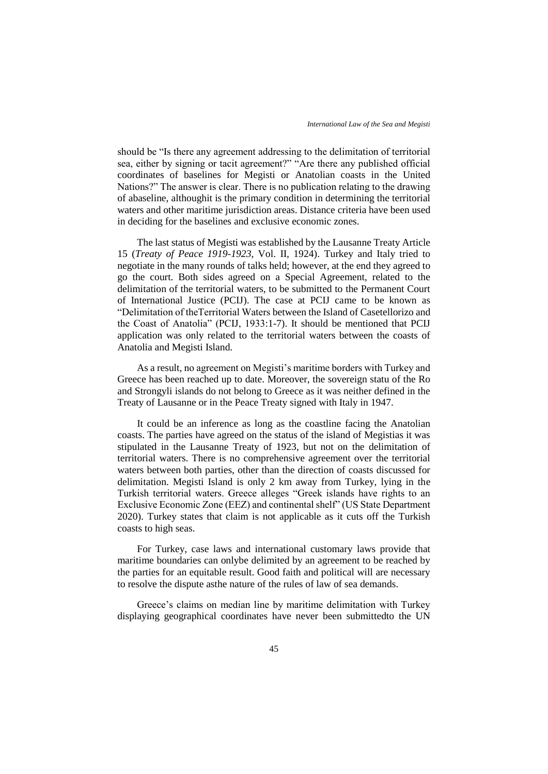should be "Is there any agreement addressing to the delimitation of territorial sea, either by signing or tacit agreement?" "Are there any published official coordinates of baselines for Megisti or Anatolian coasts in the United Nations?" The answer is clear. There is no publication relating to the drawing of abaseline, althoughit is the primary condition in determining the territorial waters and other maritime jurisdiction areas. Distance criteria have been used in deciding for the baselines and exclusive economic zones.

The last status of Megisti was established by the Lausanne Treaty Article 15 (*Treaty of Peace 1919-1923*, Vol. II, 1924). Turkey and Italy tried to negotiate in the many rounds of talks held; however, at the end they agreed to go the court. Both sides agreed on a Special Agreement, related to the delimitation of the territorial waters, to be submitted to the Permanent Court of International Justice (PCIJ). The case at PCIJ came to be known as "Delimitation of theTerritorial Waters between the Island of Casetellorizo and the Coast of Anatolia" (PCIJ, 1933:1-7). It should be mentioned that PCIJ application was only related to the territorial waters between the coasts of Anatolia and Megisti Island.

As a result, no agreement on Megisti's maritime borders with Turkey and Greece has been reached up to date. Moreover, the sovereign statu of the Ro and Strongyli islands do not belong to Greece as it was neither defined in the Treaty of Lausanne or in the Peace Treaty signed with Italy in 1947.

It could be an inference as long as the coastline facing the Anatolian coasts. The parties have agreed on the status of the island of Megistias it was stipulated in the Lausanne Treaty of 1923, but not on the delimitation of territorial waters. There is no comprehensive agreement over the territorial waters between both parties, other than the direction of coasts discussed for delimitation. Megisti Island is only 2 km away from Turkey, lying in the Turkish territorial waters. Greece alleges "Greek islands have rights to an Exclusive Economic Zone (EEZ) and continental shelf" (US State Department 2020). Turkey states that claim is not applicable as it cuts off the Turkish coasts to high seas.

For Turkey, case laws and international customary laws provide that maritime boundaries can onlybe delimited by an agreement to be reached by the parties for an equitable result. Good faith and political will are necessary to resolve the dispute asthe nature of the rules of law of sea demands.

Greece's claims on median line by maritime delimitation with Turkey displaying geographical coordinates have never been submittedto the UN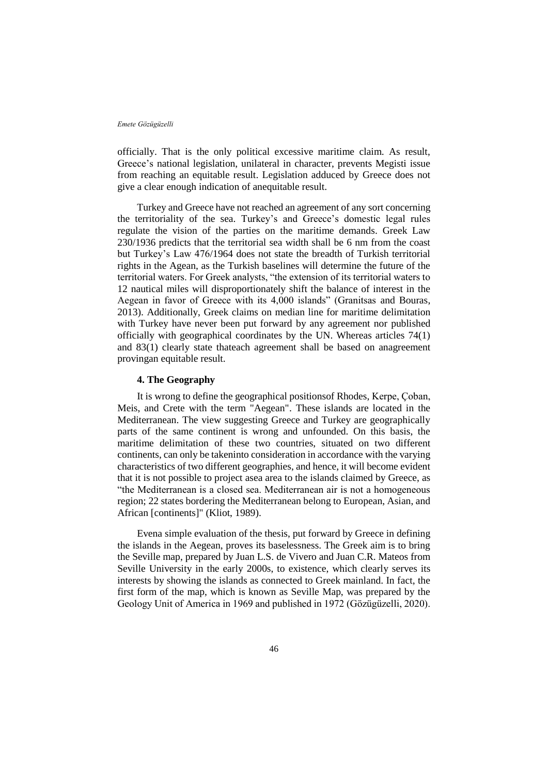officially. That is the only political excessive maritime claim. As result, Greece's national legislation, unilateral in character, prevents Megisti issue from reaching an equitable result. Legislation adduced by Greece does not give a clear enough indication of anequitable result.

Turkey and Greece have not reached an agreement of any sort concerning the territoriality of the sea. Turkey's and Greece's domestic legal rules regulate the vision of the parties on the maritime demands. Greek Law 230/1936 predicts that the territorial sea width shall be 6 nm from the coast but Turkey's Law 476/1964 does not state the breadth of Turkish territorial rights in the Agean, as the Turkish baselines will determine the future of the territorial waters. For Greek analysts, "the extension of its territorial waters to 12 nautical miles will disproportionately shift the balance of interest in the Aegean in favor of Greece with its 4,000 islands" (Granitsas and Bouras, 2013). Additionally, Greek claims on median line for maritime delimitation with Turkey have never been put forward by any agreement nor published officially with geographical coordinates by the UN. Whereas articles 74(1) and 83(1) clearly state thateach agreement shall be based on anagreement provingan equitable result.

# **4. The Geography**

It is wrong to define the geographical positionsof Rhodes, Kerpe, Çoban, Meis, and Crete with the term "Aegean". These islands are located in the Mediterranean. The view suggesting Greece and Turkey are geographically parts of the same continent is wrong and unfounded. On this basis, the maritime delimitation of these two countries, situated on two different continents, can only be takeninto consideration in accordance with the varying characteristics of two different geographies, and hence, it will become evident that it is not possible to project asea area to the islands claimed by Greece, as "the Mediterranean is a closed sea. Mediterranean air is not a homogeneous region; 22 states bordering the Mediterranean belong to European, Asian, and African [continents]" (Kliot, 1989).

Evena simple evaluation of the thesis, put forward by Greece in defining the islands in the Aegean, proves its baselessness. The Greek aim is to bring the Seville map, prepared by Juan L.S. de Vivero and Juan C.R. Mateos from Seville University in the early 2000s, to existence, which clearly serves its interests by showing the islands as connected to Greek mainland. In fact, the first form of the map, which is known as Seville Map, was prepared by the Geology Unit of America in 1969 and published in 1972 (Gözügüzelli, 2020).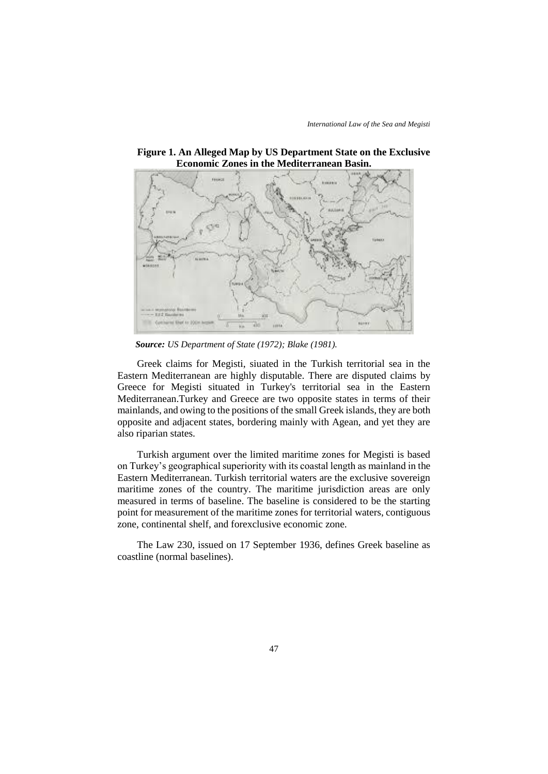

**Figure 1. An Alleged Map by US Department State on the Exclusive Economic Zones in the Mediterranean Basin.**

 *Source: US Department of State (1972); Blake (1981).*

Greek claims for Megisti, siuated in the Turkish territorial sea in the Eastern Mediterranean are highly disputable. There are disputed claims by Greece for Megisti situated in Turkey's territorial sea in the Eastern Mediterranean.Turkey and Greece are two opposite states in terms of their mainlands, and owing to the positions of the small Greek islands, they are both opposite and adjacent states, bordering mainly with Agean, and yet they are also riparian states.

Turkish argument over the limited maritime zones for Megisti is based on Turkey's geographical superiority with its coastal length as mainland in the Eastern Mediterranean. Turkish territorial waters are the exclusive sovereign maritime zones of the country. The maritime jurisdiction areas are only measured in terms of baseline. The baseline is considered to be the starting point for measurement of the maritime zones for territorial waters, contiguous zone, continental shelf, and forexclusive economic zone.

The Law 230, issued on 17 September 1936, defines Greek baseline as coastline (normal baselines).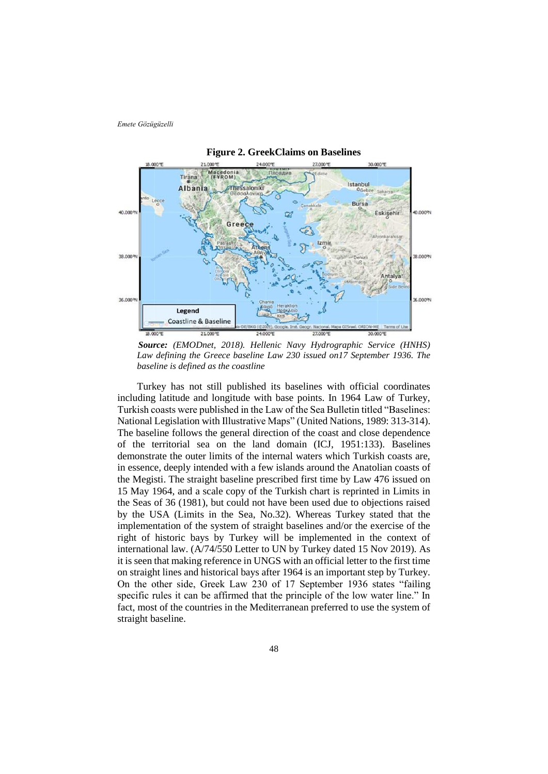

 *Source: (EMODnet, 2018). Hellenic Navy Hydrographic Service (HNHS) Law defining the Greece baseline Law 230 issued on17 September 1936. The baseline is defined as the coastline*

Turkey has not still published its baselines with official coordinates including latitude and longitude with base points. In 1964 Law of Turkey, Turkish coasts were published in the Law of the Sea Bulletin titled "Baselines: National Legislation with Illustrative Maps" (United Nations, 1989: 313-314). The baseline follows the general direction of the coast and close dependence of the territorial sea on the land domain (ICJ, 1951:133). Baselines demonstrate the outer limits of the internal waters which Turkish coasts are, in essence, deeply intended with a few islands around the Anatolian coasts of the Megisti. The straight baseline prescribed first time by Law 476 issued on 15 May 1964, and a scale copy of the Turkish chart is reprinted in Limits in the Seas of 36 (1981), but could not have been used due to objections raised by the USA (Limits in the Sea, No.32). Whereas Turkey stated that the implementation of the system of straight baselines and/or the exercise of the right of historic bays by Turkey will be implemented in the context of international law. (A/74/550 Letter to UN by Turkey dated 15 Nov 2019). As it is seen that making reference in UNGS with an official letter to the first time on straight lines and historical bays after 1964 is an important step by Turkey. On the other side, Greek Law 230 of 17 September 1936 states "failing specific rules it can be affirmed that the principle of the low water line." In fact, most of the countries in the Mediterranean preferred to use the system of straight baseline.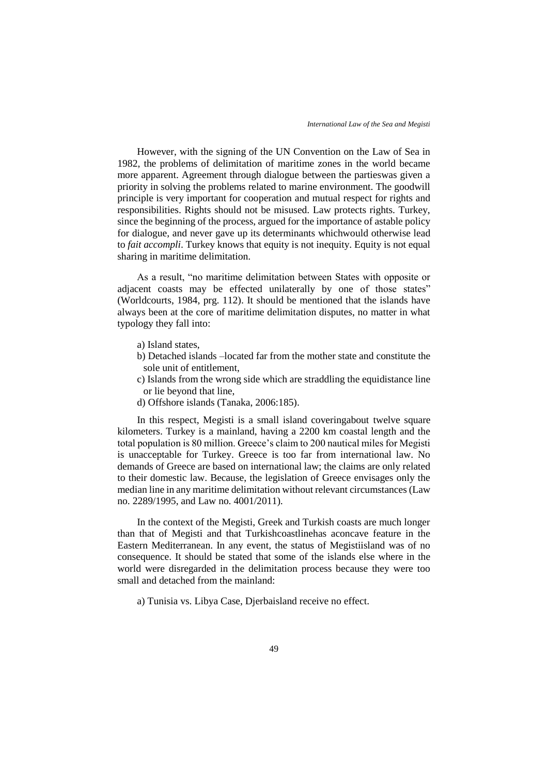However, with the signing of the UN Convention on the Law of Sea in 1982, the problems of delimitation of maritime zones in the world became more apparent. Agreement through dialogue between the partieswas given a priority in solving the problems related to marine environment. The goodwill principle is very important for cooperation and mutual respect for rights and responsibilities. Rights should not be misused. Law protects rights. Turkey, since the beginning of the process, argued for the importance of astable policy for dialogue, and never gave up its determinants whichwould otherwise lead to *fait accompli*. Turkey knows that equity is not inequity. Equity is not equal sharing in maritime delimitation.

As a result, "no maritime delimitation between States with opposite or adjacent coasts may be effected unilaterally by one of those states" (Worldcourts, 1984, prg. 112). It should be mentioned that the islands have always been at the core of maritime delimitation disputes, no matter in what typology they fall into:

- a) Island states,
- b) Detached islands –located far from the mother state and constitute the sole unit of entitlement,
- c) Islands from the wrong side which are straddling the equidistance line or lie beyond that line,
- d) Offshore islands (Tanaka, 2006:185).

In this respect, Megisti is a small island coveringabout twelve square kilometers. Turkey is a mainland, having a 2200 km coastal length and the total population is 80 million. Greece's claim to 200 nautical miles for Megisti is unacceptable for Turkey. Greece is too far from international law. No demands of Greece are based on international law; the claims are only related to their domestic law. Because, the legislation of Greece envisages only the median line in any maritime delimitation without relevant circumstances (Law no. 2289/1995, and Law no. 4001/2011).

In the context of the Megisti, Greek and Turkish coasts are much longer than that of Megisti and that Turkishcoastlinehas aconcave feature in the Eastern Mediterranean. In any event, the status of Megistiisland was of no consequence. It should be stated that some of the islands else where in the world were disregarded in the delimitation process because they were too small and detached from the mainland:

a) Tunisia vs. Libya Case, Djerbaisland receive no effect.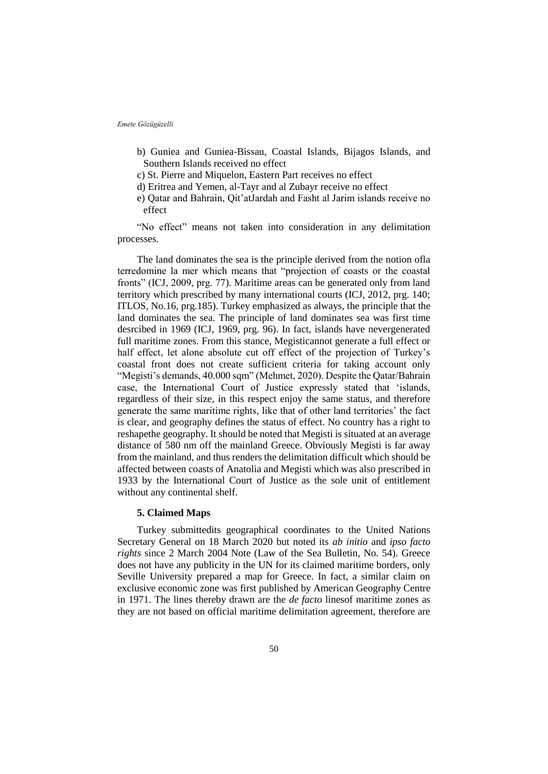- b) Guniea and Guniea-Bissau, Coastal Islands, Bijagos Islands, and Southern Islands received no effect
- c) St. Pierre and Miquelon, Eastern Part receives no effect
- d) Eritrea and Yemen, al-Tayr and al Zubayr receive no effect
- e) Qatar and Bahrain, Qit'atJardah and Fasht al Jarim islands receive no effect

"No effect" means not taken into consideration in any delimitation processes.

The land dominates the sea is the principle derived from the notion ofla terredomine la mer which means that "projection of coasts or the coastal fronts" (ICJ, 2009, prg. 77). Maritime areas can be generated only from land territory which prescribed by many international courts (ICJ, 2012, prg. 140; ITLOS, No.16, prg.185). Turkey emphasized as always, the principle that the land dominates the sea. The principle of land dominates sea was first time desrcibed in 1969 (ICJ, 1969, prg. 96). In fact, islands have nevergenerated full maritime zones. From this stance, Megisticannot generate a full effect or half effect, let alone absolute cut off effect of the projection of Turkey's coastal front does not create sufficient criteria for taking account only "Megisti's demands, 40.000 sqm" (Mehmet, 2020). Despite the Qatar/Bahrain case, the International Court of Justice expressly stated that 'islands, regardless of their size, in this respect enjoy the same status, and therefore generate the same maritime rights, like that of other land territories' the fact is clear, and geography defines the status of effect. No country has a right to reshapethe geography. It should be noted that Megisti is situated at an average distance of 580 nm off the mainland Greece. Obviously Megisti is far away from the mainland, and thus renders the delimitation difficult which should be affected between coasts of Anatolia and Megisti which was also prescribed in 1933 by the International Court of Justice as the sole unit of entitlement without any continental shelf.

### **5. Claimed Maps**

Turkey submittedits geographical coordinates to the United Nations Secretary General on 18 March 2020 but noted its *ab initio* and *ipso facto rights* since 2 March 2004 Note (Law of the Sea Bulletin, No. 54). Greece does not have any publicity in the UN for its claimed maritime borders, only Seville University prepared a map for Greece. In fact, a similar claim on exclusive economic zone was first published by American Geography Centre in 1971. The lines thereby drawn are the *de facto* linesof maritime zones as they are not based on official maritime delimitation agreement, therefore are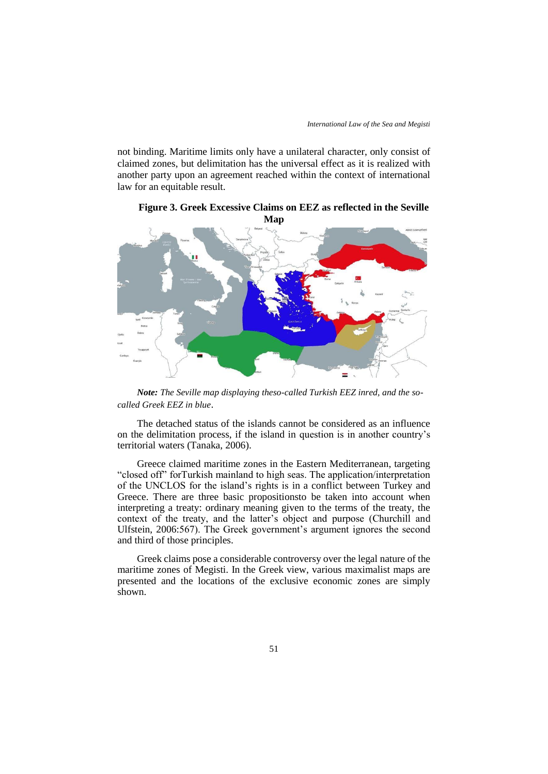not binding. Maritime limits only have a unilateral character, only consist of claimed zones, but delimitation has the universal effect as it is realized with another party upon an agreement reached within the context of international law for an equitable result.



**Figure 3. Greek Excessive Claims on EEZ as reflected in the Seville Map**

*Note: The Seville map displaying theso-called Turkish EEZ inred, and the socalled Greek EEZ in blue*.

The detached status of the islands cannot be considered as an influence on the delimitation process, if the island in question is in another country's territorial waters (Tanaka, 2006).

Greece claimed maritime zones in the Eastern Mediterranean, targeting "closed off" forTurkish mainland to high seas. The application/interpretation of the UNCLOS for the island's rights is in a conflict between Turkey and Greece. There are three basic propositionsto be taken into account when interpreting a treaty: ordinary meaning given to the terms of the treaty, the context of the treaty, and the latter's object and purpose (Churchill and Ulfstein, 2006:567). The Greek government's argument ignores the second and third of those principles.

Greek claims pose a considerable controversy over the legal nature of the maritime zones of Megisti. In the Greek view, various maximalist maps are presented and the locations of the exclusive economic zones are simply shown.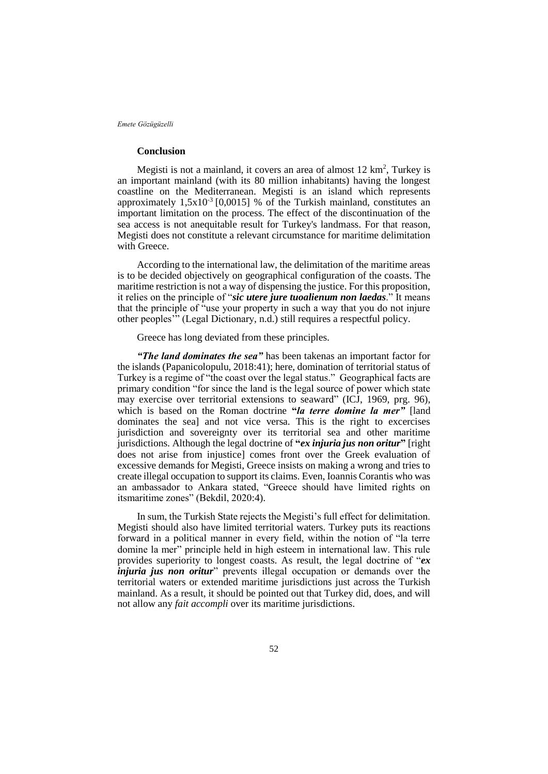## **Conclusion**

Megisti is not a mainland, it covers an area of almost  $12 \text{ km}^2$ , Turkey is an important mainland (with its 80 million inhabitants) having the longest coastline on the Mediterranean. Megisti is an island which represents approximately  $1,5x10^3$  [0,0015] % of the Turkish mainland, constitutes an important limitation on the process. The effect of the discontinuation of the sea access is not anequitable result for Turkey's landmass. For that reason, Megisti does not constitute a relevant circumstance for maritime delimitation with Greece.

According to the international law, the delimitation of the maritime areas is to be decided objectively on geographical configuration of the coasts. The maritime restriction is not a way of dispensing the justice. For this proposition, it relies on the principle of "*sic utere jure tuoalienum non laedas*." It means that the principle of "use your property in such a way that you do not injure other peoples'" (Legal Dictionary, n.d.) still requires a respectful policy.

Greece has long deviated from these principles.

*"The land dominates the sea"* has been takenas an important factor for the islands (Papanicolopulu, 2018:41); here, domination of territorial status of Turkey is a regime of "the coast over the legal status." Geographical facts are primary condition "for since the land is the legal source of power which state may exercise over territorial extensions to seaward" (ICJ, 1969, prg. 96), which is based on the Roman doctrine **"***la terre domine la mer"* [land dominates the sea] and not vice versa. This is the right to excercises jurisdiction and sovereignty over its territorial sea and other maritime jurisdictions. Although the legal doctrine of **"***ex injuria jus non oritur***"** [right does not arise from injustice] comes front over the Greek evaluation of excessive demands for Megisti, Greece insists on making a wrong and tries to create illegal occupation to support its claims. Even, Ioannis Corantis who was an ambassador to Ankara stated, "Greece should have limited rights on itsmaritime zones" (Bekdil, 2020:4).

In sum, the Turkish State rejects the Megisti's full effect for delimitation. Megisti should also have limited territorial waters. Turkey puts its reactions forward in a political manner in every field, within the notion of "la terre domine la mer" principle held in high esteem in international law. This rule provides superiority to longest coasts. As result, the legal doctrine of "*ex injuria jus non oritur*" prevents illegal occupation or demands over the territorial waters or extended maritime jurisdictions just across the Turkish mainland. As a result, it should be pointed out that Turkey did, does, and will not allow any *fait accompli* over its maritime jurisdictions.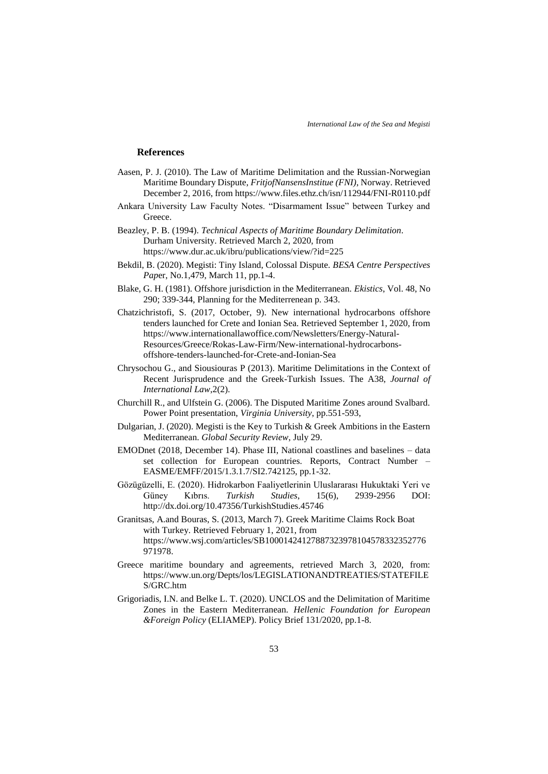### **References**

- Aasen, P. J. (2010). The Law of Maritime Delimitation and the Russian-Norwegian Maritime Boundary Dispute, *FritjofNansensInstitue (FNI)*, Norway. Retrieved December 2, 2016, from https://www.files.ethz.ch/isn/112944/FNI-R0110.pdf
- Ankara University Law Faculty Notes. "Disarmament Issue" between Turkey and Greece.
- Beazley, P. B. (1994). *Technical Aspects of Maritime Boundary Delimitation*. Durham University. Retrieved March 2, 2020, from https://www.dur.ac.uk/ibru/publications/view/?id=225
- Bekdil, B. (2020). Megisti: Tiny Island, Colossal Dispute. *BESA Centre Perspectives Pap*er, No.1,479, March 11, pp.1-4.
- Blake, G. H. (1981). Offshore jurisdiction in the Mediterranean. *Ekistics*, Vol. 48, No 290; 339-344, Planning for the Mediterrenean p. 343.
- Chatzichristofi, S. (2017, October, 9). New international hydrocarbons offshore tenders launched for Crete and Ionian Sea. Retrieved September 1, 2020, from https://www.internationallawoffice.com/Newsletters/Energy-Natural-Resources/Greece/Rokas-Law-Firm/New-international-hydrocarbonsoffshore-tenders-launched-for-Crete-and-Ionian-Sea
- Chrysochou G., and Siousiouras P (2013). Maritime Delimitations in the Context of Recent Jurisprudence and the Greek-Turkish Issues. The A38, *Journal of International Law*,2(2).
- Churchill R., and Ulfstein G. (2006). The Disputed Maritime Zones around Svalbard. Power Point presentation, *Virginia University*, pp.551-593,
- Dulgarian, J. (2020). Megisti is the Key to Turkish & Greek Ambitions in the Eastern Mediterranean. *Global Security Review*, July 29.
- EMODnet (2018, December 14). Phase III, National coastlines and baselines data set collection for European countries. Reports, Contract Number – EASME/EMFF/2015/1.3.1.7/SI2.742125, pp.1-32.
- Gözügüzelli, E. (2020). Hidrokarbon Faaliyetlerinin Uluslararası Hukuktaki Yeri ve Güney Kıbrıs. *Turkish Studies*, 15(6), 2939-2956 DOI: http://dx.doi.org/10.47356/TurkishStudies.45746
- Granitsas, A.and Bouras, S. (2013, March 7). Greek Maritime Claims Rock Boat with Turkey. Retrieved February 1, 2021, from https://www.wsj.com/articles/SB10001424127887323978104578332352776 971978.
- Greece maritime boundary and agreements, retrieved March 3, 2020, from: https://www.un.org/Depts/los/LEGISLATIONANDTREATIES/STATEFILE S/GRC.htm
- Grigoriadis, I.N. and Belke L. T. (2020). UNCLOS and the Delimitation of Maritime Zones in the Eastern Mediterranean. *Hellenic Foundation for European &Foreign Policy* (ELIAMEP). Policy Brief 131/2020, pp.1-8.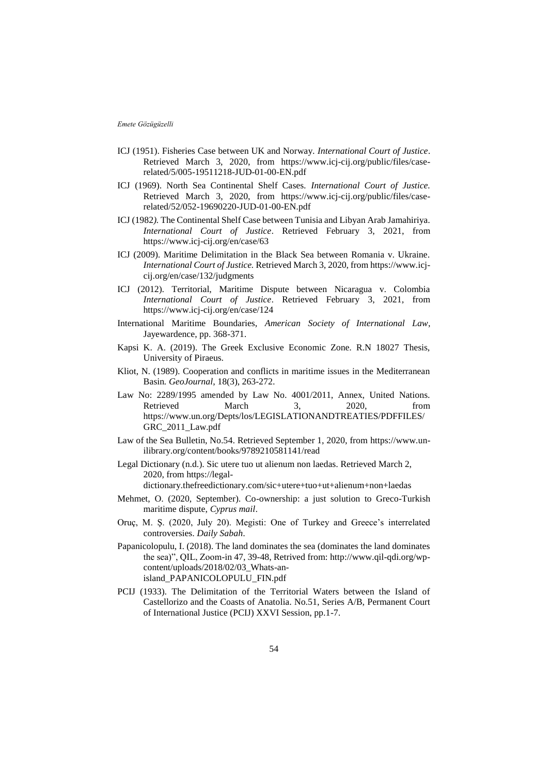- ICJ (1951). Fisheries Case between UK and Norway. *International Court of Justice*. Retrieved March 3, 2020, from https://www.icj-cij.org/public/files/caserelated/5/005-19511218-JUD-01-00-EN.pdf
- ICJ (1969). North Sea Continental Shelf Cases. *International Court of Justice.* Retrieved March 3, 2020, from https://www.icj-cij.org/public/files/caserelated/52/052-19690220-JUD-01-00-EN.pdf
- ICJ (1982*).* The Continental Shelf Case between Tunisia and Libyan Arab Jamahiriya. *International Court of Justice*. Retrieved February 3, 2021, from https://www.icj-cij.org/en/case/63
- ICJ (2009). Maritime Delimitation in the Black Sea between Romania v. Ukraine. *International Court of Justice.* Retrieved March 3, 2020, from https://www.icjcij.org/en/case/132/judgments
- ICJ (2012). Territorial, Maritime Dispute between Nicaragua v. Colombia *International Court of Justice*. Retrieved February 3, 2021, from https://www.icj-cij.org/en/case/124
- International Maritime Boundaries, *American Society of International Law*, Jayewardence, pp. 368-371.
- Kapsi K. A. (2019). The Greek Exclusive Economic Zone. R.N 18027 Thesis, University of Piraeus.
- Kliot, N. (1989). Cooperation and conflicts in maritime issues in the Mediterranean Basin*. GeoJournal*, 18(3), 263-272.
- Law No: 2289/1995 amended by Law No. 4001/2011, Annex, United Nations. Retrieved March 3, 2020, from https://www.un.org/Depts/los/LEGISLATIONANDTREATIES/PDFFILES/ GRC\_2011\_Law.pdf
- Law of the Sea Bulletin, No.54. Retrieved September 1, 2020, from https://www.unilibrary.org/content/books/9789210581141/read
- Legal Dictionary (n.d.). Sic utere tuo ut alienum non laedas. Retrieved March 2, 2020, from https://legal-

dictionary.thefreedictionary.com/sic+utere+tuo+ut+alienum+non+laedas

- Mehmet, O. (2020, September). Co-ownership: a just solution to Greco-Turkish maritime dispute, *Cyprus mail*.
- Oruç, M. Ş. (2020, July 20). Megisti: One of Turkey and Greece's interrelated controversies. *Daily Sabah*.
- Papanicolopulu, I. (2018). The land dominates the sea (dominates the land dominates the sea)", QIL, Zoom-in 47, 39-48, Retrived from: http://www.qil-qdi.org/wpcontent/uploads/2018/02/03\_Whats-anisland\_PAPANICOLOPULU\_FIN.pdf
- PCIJ (1933). The Delimitation of the Territorial Waters between the Island of Castellorizo and the Coasts of Anatolia. No.51, Series A/B, Permanent Court of International Justice (PCIJ) XXVI Session, pp.1-7.